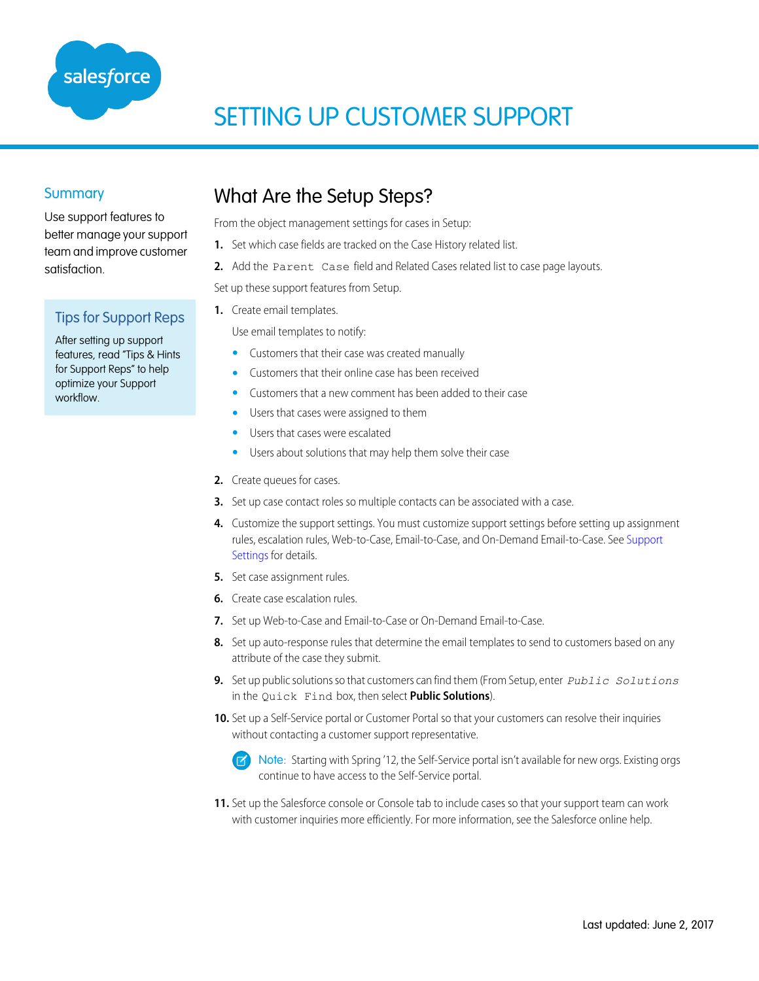

# SETTING UP CUSTOMER SUPPORT

### **Summary**

Use support features to better manage your support team and improve customer satisfaction.

### Tips for Support Reps

After setting up support features, read "Tips & Hints for Support Reps" to help optimize your Support workflow.

### What Are the Setup Steps?

From the object management settings for cases in Setup:

- **1.** Set which case fields are tracked on the Case History related list.
- **2.** Add the Parent Case field and Related Cases related list to case page layouts.

Set up these support features from Setup.

**1.** Create email templates.

Use email templates to notify:

- **•** Customers that their case was created manually
- **•** Customers that their online case has been received
- **•** Customers that a new comment has been added to their case
- **•** Users that cases were assigned to them
- **•** Users that cases were escalated
- **•** Users about solutions that may help them solve their case
- **2.** Create queues for cases.
- **3.** Set up case contact roles so multiple contacts can be associated with a case.
- **4.** Customize the support settings. You must customize support settings before setting up assignment rules, escalation rules, Web-to-Case, Email-to-Case, and On-Demand Email-to-Case. See [Support](#page-1-0) [Settings](#page-1-0) for details.
- **5.** Set case assignment rules.
- **6.** Create case escalation rules.
- **7.** Set up Web-to-Case and Email-to-Case or On-Demand Email-to-Case.
- **8.** Set up auto-response rules that determine the email templates to send to customers based on any attribute of the case they submit.
- **9.** Set up public solutions so that customers can find them (From Setup, enter *Public Solutions* in the Quick Find box, then select **Public Solutions**).
- **10.** Set up a Self-Service portal or Customer Portal so that your customers can resolve their inquiries without contacting a customer support representative.

Note: Starting with Spring '12, the Self-Service portal isn't available for new orgs. Existing orgs ທ continue to have access to the Self-Service portal.

**11.** Set up the Salesforce console or Console tab to include cases so that your support team can work with customer inquiries more efficiently. For more information, see the Salesforce online help.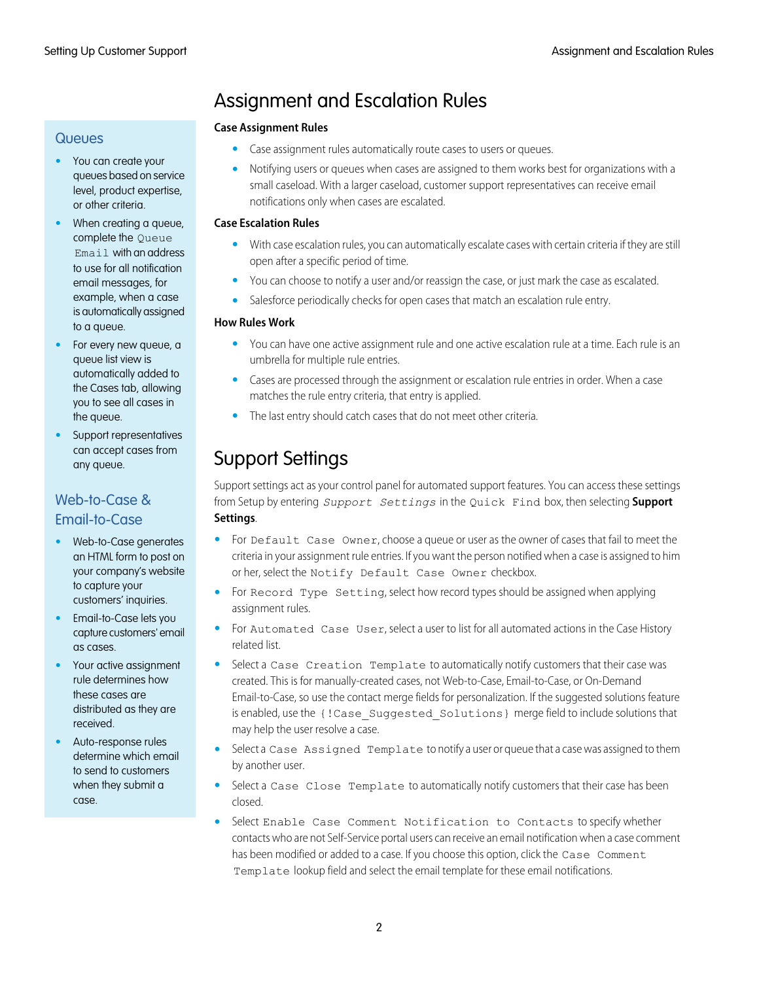#### **Queues**

- **•** You can create your queues based on service level, product expertise, or other criteria.
- **•** When creating a queue, complete the Queue Email with an address to use for all notification email messages, for example, when a case is automatically assigned to a queue.
- **•** For every new queue, a queue list view is automatically added to the Cases tab, allowing you to see all cases in the queue.
- **•** Support representatives can accept cases from any queue.

### Web-to-Case & Email-to-Case

- **•** Web-to-Case generates an HTML form to post on your company's website to capture your customers' inquiries.
- **•** Email-to-Case lets you capture customers' email as cases.
- **•** Your active assignment rule determines how these cases are distributed as they are received.
- **•** Auto-response rules determine which email to send to customers when they submit a case.

# Assignment and Escalation Rules

#### **Case Assignment Rules**

- **•** Case assignment rules automatically route cases to users or queues.
- **•** Notifying users or queues when cases are assigned to them works best for organizations with a small caseload. With a larger caseload, customer support representatives can receive email notifications only when cases are escalated.

#### **Case Escalation Rules**

- **•** With case escalation rules, you can automatically escalate cases with certain criteria if they are still open after a specific period of time.
- **•** You can choose to notify a user and/or reassign the case, or just mark the case as escalated.
- **•** Salesforce periodically checks for open cases that match an escalation rule entry.

#### **How Rules Work**

- **•** You can have one active assignment rule and one active escalation rule at a time. Each rule is an umbrella for multiple rule entries.
- **•** Cases are processed through the assignment or escalation rule entries in order. When a case matches the rule entry criteria, that entry is applied.
- <span id="page-1-0"></span>**•** The last entry should catch cases that do not meet other criteria.

# Support Settings

Support settings act as your control panel for automated support features. You can access these settings from Setup by entering *Support Settings* in the Quick Find box, then selecting **Support Settings**.

- **•** For Default Case Owner, choose a queue or user as the owner of cases that fail to meet the criteria in your assignment rule entries. If you want the person notified when a case is assigned to him or her, select the Notify Default Case Owner checkbox.
- For Record Type Setting, select how record types should be assigned when applying assignment rules.
- **•** For Automated Case User, select a user to list for all automated actions in the Case History related list.
- Select a Case Creation Template to automatically notify customers that their case was created. This is for manually-created cases, not Web-to-Case, Email-to-Case, or On-Demand Email-to-Case, so use the contact merge fields for personalization. If the suggested solutions feature is enabled, use the {!Case\_Suggested\_Solutions} merge field to include solutions that may help the user resolve a case.
- **•** Select a Case Assigned Template to notify a user or queue that a case was assigned to them by another user.
- Select a Case Close Template to automatically notify customers that their case has been closed.
- **•** Select Enable Case Comment Notification to Contacts to specify whether contacts who are not Self-Service portal users can receive an email notification when a case comment has been modified or added to a case. If you choose this option, click the Case Comment Template lookup field and select the email template for these email notifications.